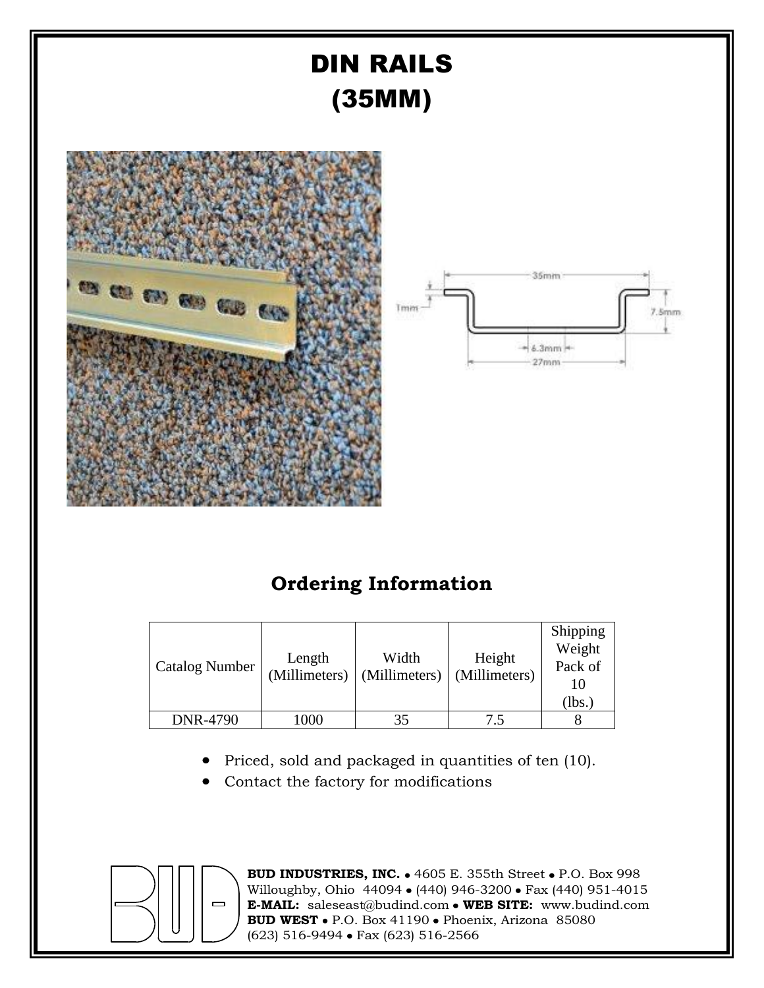

# **Ordering Information**

| <b>Catalog Number</b> | Length<br>(Millimeters) | Width<br>(Millimeters) | Height<br>(Millimeters) | Shipping<br>Weight<br>Pack of<br>10<br>(lbs. |
|-----------------------|-------------------------|------------------------|-------------------------|----------------------------------------------|
| DNR-4790              | 1000                    | 35                     | 7.5                     |                                              |

- Priced, sold and packaged in quantities of ten (10).
- Contact the factory for modifications



**BUD INDUSTRIES, INC. • 4605 E. 355th Street • P.O. Box 998** Willoughby, Ohio 44094 • (440) 946-3200 • Fax (440) 951-4015 **E-MAIL:** saleseast@budind.com **WEB SITE:** www.budind.com **BUD WEST** • P.O. Box 41190 • Phoenix, Arizona 85080 (623) 516-9494 Fax (623) 516-2566